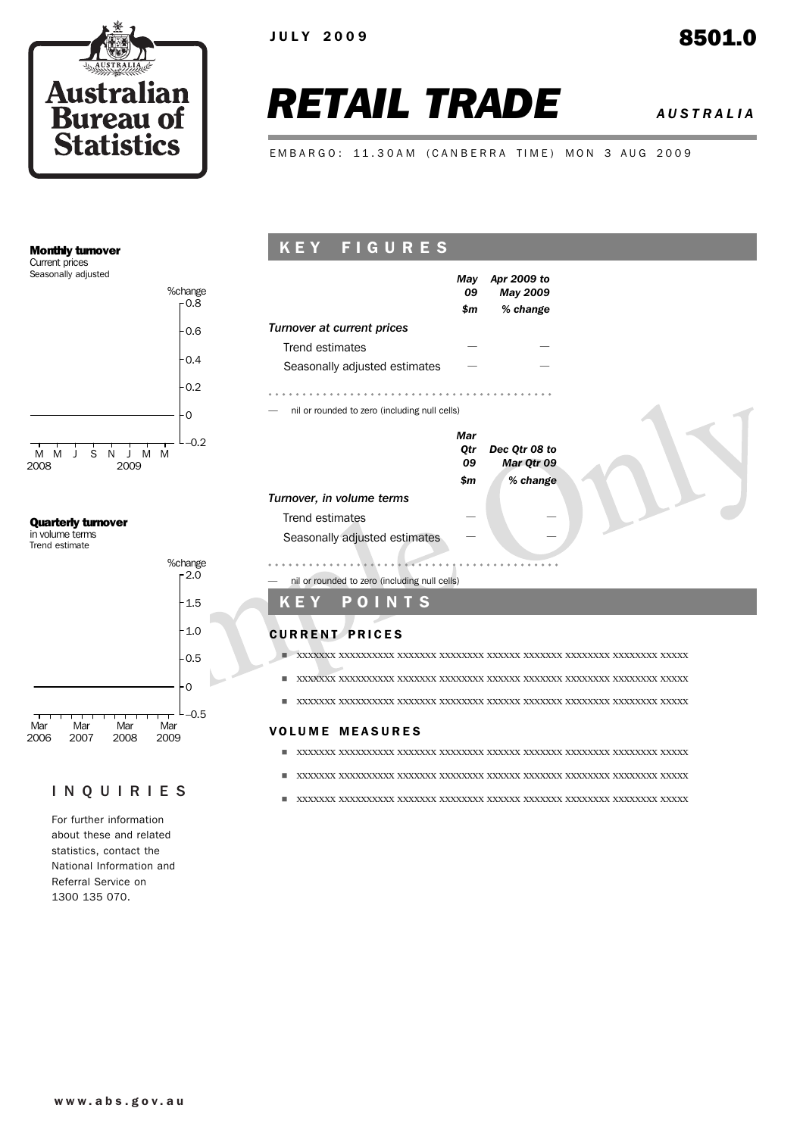

# *RETAIL TRADE AUSTRALIA*

EMBARGO: 11.30AM (CANBERRA TIME) MON 3 AUG 2009

#### Monthly turnover

Current prices Seasonally adjusted



#### Quarterly turnover

in volume terms Trend estimate



#### INQUIRIES

For further information about these and related statistics, contact the National Information and Referral Service on 1300 135 070.

## K E Y F I G U R E S



- ! xxxxxxx xxxxxxxxxx xxxxxxx xxxxxxxx xxxxxx xxxxxxx xxxxxxxx xxxxxxxx xxxxx
- ! xxxxxxx xxxxxxxxxx xxxxxxx xxxxxxxx xxxxxx xxxxxxx xxxxxxxx xxxxxxxx xxxxx

#### **VOLUME MEASURES**

- ! xxxxxxx xxxxxxxxxx xxxxxxx xxxxxxxx xxxxxx xxxxxxx xxxxxxxx xxxxxxxx xxxxx
- ! xxxxxxx xxxxxxxxxx xxxxxxx xxxxxxxx xxxxxx xxxxxxx xxxxxxxx xxxxxxxx xxxxx
- ! xxxxxxx xxxxxxxxxx xxxxxxx xxxxxxxx xxxxxx xxxxxxx xxxxxxxx xxxxxxxx xxxxx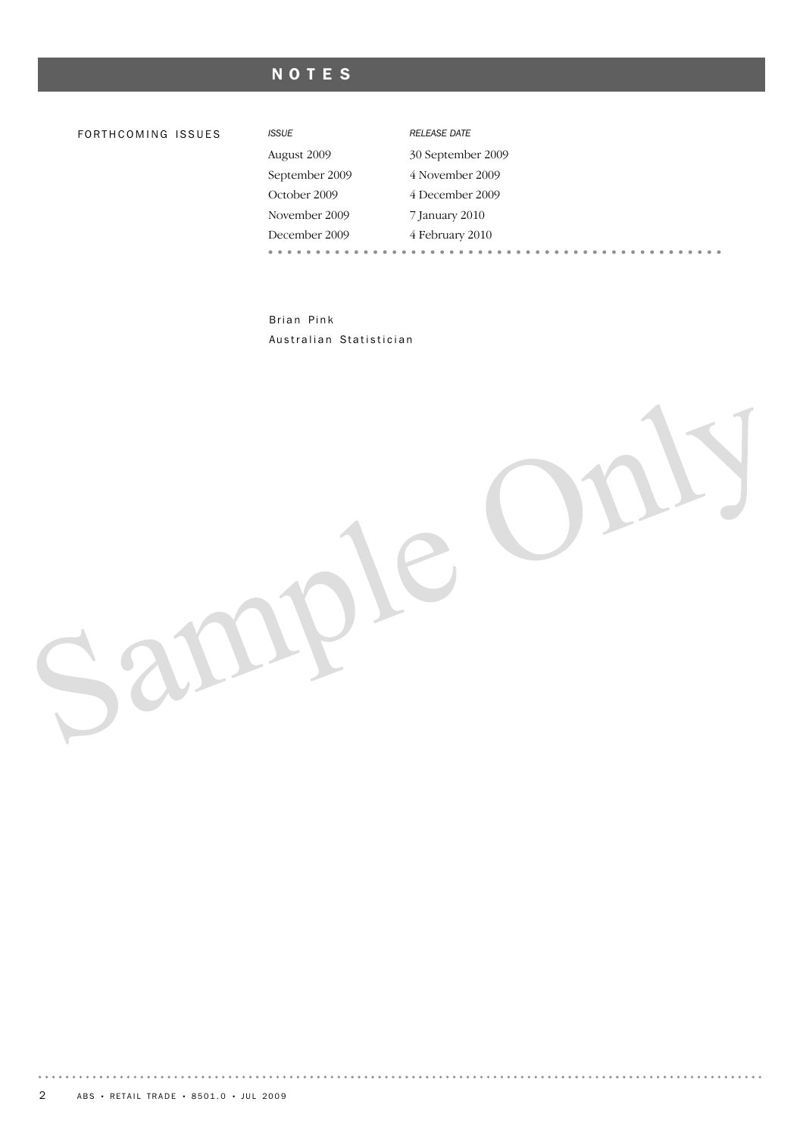# NOTES

#### FO R T H C O M I N G IS S U E S *ISSUE RELEASE DATE*

| <b>ISSUE</b>   | <b>RELEASE DATE</b> |  |  |  |  |  |  |
|----------------|---------------------|--|--|--|--|--|--|
| August 2009    | 30 September 2009   |  |  |  |  |  |  |
| September 2009 | 4 November 2009     |  |  |  |  |  |  |
| October 2009   | 4 December 2009     |  |  |  |  |  |  |
| November 2009  | 7 January 2010      |  |  |  |  |  |  |
| December 2009  | 4 February 2010     |  |  |  |  |  |  |
|                |                     |  |  |  |  |  |  |

 $\alpha$  ,  $\alpha$  ,  $\alpha$ 

Brian Pink Australian Statistician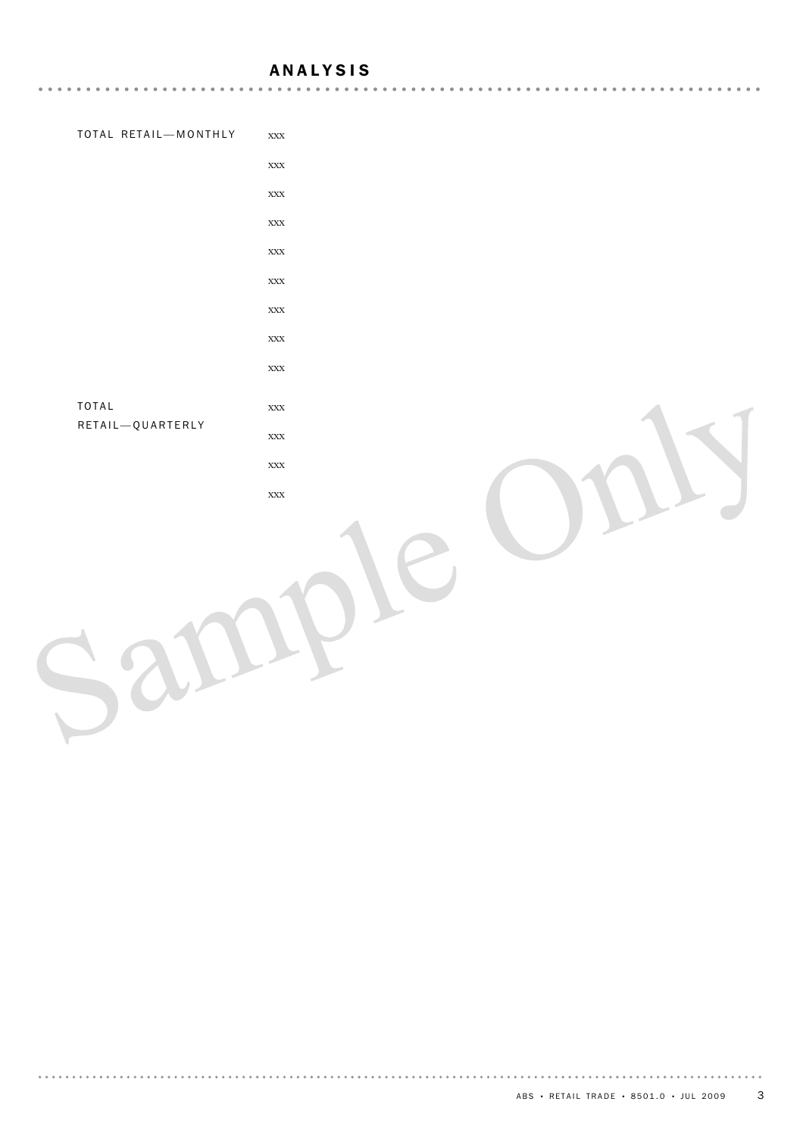#### ANALYSIS

| TOTAL RETAIL-MONTHLY | $\bold{XXX}$ |  |
|----------------------|--------------|--|
|                      | $\bold{XXX}$ |  |
|                      | $\bold{XXX}$ |  |
|                      | $\bold{XXX}$ |  |
|                      | $\bold{XXX}$ |  |
|                      | $\bold{XXX}$ |  |
|                      | $\bold{XXX}$ |  |
|                      | $\bold{XXX}$ |  |
|                      | $\bold{XXX}$ |  |
| TOTAL                | $\bold{XXX}$ |  |
| RETAIL-QUARTERLY     | $\bold{XXX}$ |  |
|                      | $\bold{XXX}$ |  |
|                      | $\bold{XXX}$ |  |
|                      |              |  |
|                      |              |  |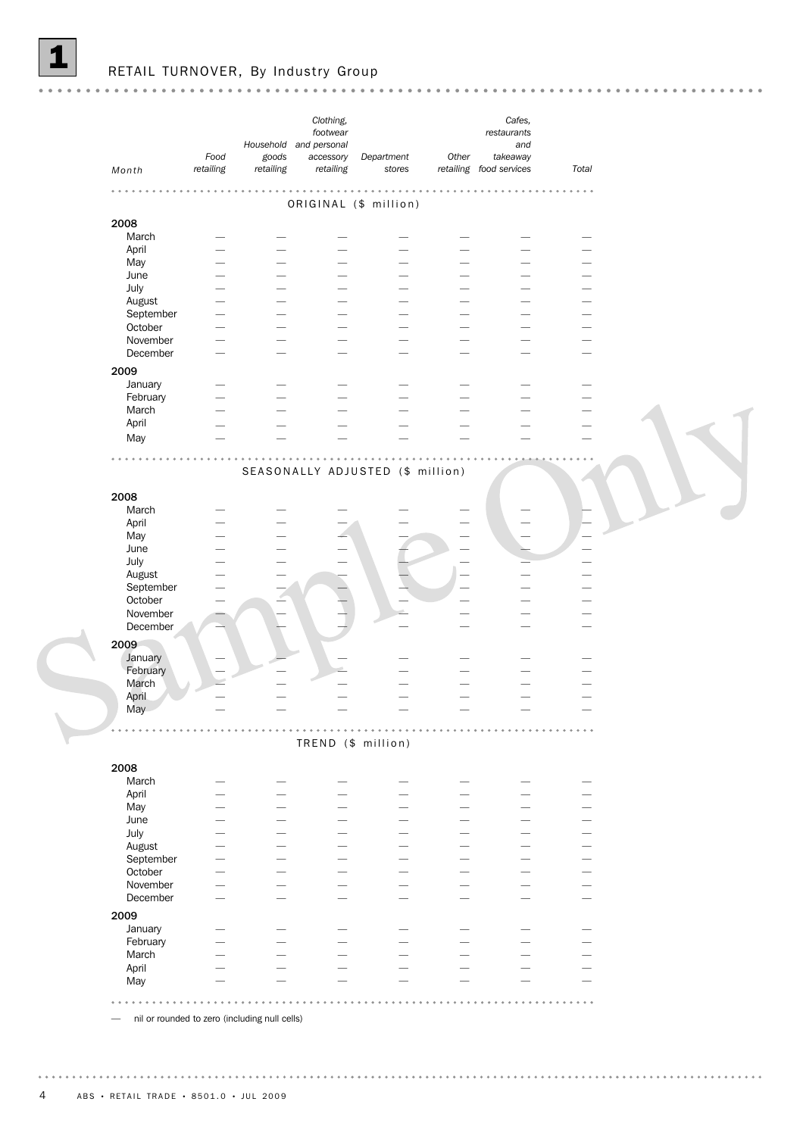|                              |                   | Household and personal | Clothing,<br>footwear               |                                   |                          | Cafes,<br>restaurants<br>and                                                                                                                                                                                                   |                            |  |
|------------------------------|-------------------|------------------------|-------------------------------------|-----------------------------------|--------------------------|--------------------------------------------------------------------------------------------------------------------------------------------------------------------------------------------------------------------------------|----------------------------|--|
| Month                        | Food<br>retailing | goods<br>retailing     | accessory<br>retailing              | Department<br>stores              | Other                    | takeaway<br>retailing food services                                                                                                                                                                                            | Total                      |  |
|                              |                   |                        |                                     | $\alpha$<br>$\alpha$<br>$\bullet$ |                          |                                                                                                                                                                                                                                | $\alpha = \alpha - \alpha$ |  |
|                              |                   |                        |                                     | ORIGINAL (\$ million)             |                          |                                                                                                                                                                                                                                |                            |  |
| 2008                         |                   |                        |                                     |                                   |                          |                                                                                                                                                                                                                                |                            |  |
| March                        |                   |                        |                                     |                                   |                          |                                                                                                                                                                                                                                |                            |  |
| April                        |                   |                        |                                     |                                   |                          |                                                                                                                                                                                                                                |                            |  |
| May                          |                   |                        |                                     |                                   |                          |                                                                                                                                                                                                                                |                            |  |
| June                         |                   |                        |                                     |                                   |                          |                                                                                                                                                                                                                                |                            |  |
|                              |                   |                        |                                     |                                   |                          |                                                                                                                                                                                                                                |                            |  |
| July                         |                   |                        |                                     |                                   |                          |                                                                                                                                                                                                                                |                            |  |
| August                       |                   |                        |                                     |                                   |                          |                                                                                                                                                                                                                                |                            |  |
| September                    |                   |                        |                                     |                                   |                          |                                                                                                                                                                                                                                |                            |  |
| October                      |                   |                        |                                     |                                   |                          |                                                                                                                                                                                                                                |                            |  |
| November                     |                   |                        |                                     |                                   |                          |                                                                                                                                                                                                                                |                            |  |
| December                     |                   |                        |                                     |                                   |                          |                                                                                                                                                                                                                                |                            |  |
| 2009                         |                   |                        |                                     |                                   |                          |                                                                                                                                                                                                                                |                            |  |
|                              |                   |                        |                                     |                                   |                          |                                                                                                                                                                                                                                |                            |  |
| January                      |                   |                        |                                     |                                   |                          |                                                                                                                                                                                                                                |                            |  |
| February                     |                   |                        |                                     |                                   |                          |                                                                                                                                                                                                                                |                            |  |
| March                        |                   |                        |                                     |                                   |                          |                                                                                                                                                                                                                                |                            |  |
| April                        |                   |                        |                                     |                                   |                          |                                                                                                                                                                                                                                |                            |  |
| May                          |                   |                        |                                     |                                   |                          |                                                                                                                                                                                                                                |                            |  |
| 2008                         |                   |                        |                                     | SEASONALLY ADJUSTED (\$ million)  |                          |                                                                                                                                                                                                                                |                            |  |
| March                        |                   |                        |                                     |                                   |                          |                                                                                                                                                                                                                                |                            |  |
| April                        |                   |                        |                                     |                                   |                          |                                                                                                                                                                                                                                |                            |  |
| May                          |                   |                        |                                     |                                   |                          |                                                                                                                                                                                                                                |                            |  |
| June                         |                   |                        |                                     |                                   |                          |                                                                                                                                                                                                                                |                            |  |
| July                         |                   |                        |                                     |                                   |                          |                                                                                                                                                                                                                                |                            |  |
| August                       |                   |                        |                                     |                                   |                          |                                                                                                                                                                                                                                |                            |  |
| September                    |                   |                        |                                     |                                   |                          |                                                                                                                                                                                                                                |                            |  |
| October                      |                   |                        |                                     |                                   |                          |                                                                                                                                                                                                                                |                            |  |
| November                     |                   |                        |                                     |                                   |                          |                                                                                                                                                                                                                                |                            |  |
| December                     |                   |                        |                                     |                                   |                          |                                                                                                                                                                                                                                |                            |  |
|                              |                   |                        |                                     |                                   |                          |                                                                                                                                                                                                                                |                            |  |
| 2009                         |                   |                        |                                     |                                   |                          |                                                                                                                                                                                                                                |                            |  |
| January                      |                   |                        |                                     |                                   |                          |                                                                                                                                                                                                                                |                            |  |
| February                     |                   |                        |                                     |                                   |                          |                                                                                                                                                                                                                                |                            |  |
|                              |                   |                        |                                     |                                   |                          |                                                                                                                                                                                                                                |                            |  |
|                              |                   |                        |                                     |                                   |                          |                                                                                                                                                                                                                                |                            |  |
| March                        |                   |                        |                                     |                                   |                          |                                                                                                                                                                                                                                |                            |  |
| April                        |                   |                        |                                     |                                   |                          |                                                                                                                                                                                                                                |                            |  |
| May                          |                   |                        |                                     |                                   |                          |                                                                                                                                                                                                                                |                            |  |
|                              |                   |                        | $\mathbf{0}=\mathbf{0}=\mathbf{0}.$ | TREND (\$ million)                | .                        |                                                                                                                                                                                                                                |                            |  |
| March                        |                   |                        |                                     |                                   |                          |                                                                                                                                                                                                                                |                            |  |
|                              |                   |                        | -                                   | -                                 |                          |                                                                                                                                                                                                                                |                            |  |
| April                        |                   |                        | -                                   | $\overline{\phantom{0}}$          | $\overline{\phantom{0}}$ | $\overline{\phantom{0}}$                                                                                                                                                                                                       | -                          |  |
| May                          |                   |                        | -                                   | ÷.                                |                          | and the contract of the contract of the contract of the contract of the contract of the contract of the contract of the contract of the contract of the contract of the contract of the contract of the contract of the contra |                            |  |
| June                         |                   |                        |                                     |                                   |                          |                                                                                                                                                                                                                                |                            |  |
| July                         |                   |                        |                                     |                                   |                          |                                                                                                                                                                                                                                |                            |  |
| August                       |                   |                        | -                                   | L.                                | $\overline{\phantom{0}}$ | <u>.</u>                                                                                                                                                                                                                       | -                          |  |
| September                    |                   |                        | -                                   | $\overline{\phantom{0}}$          | -                        | $\overline{\phantom{0}}$                                                                                                                                                                                                       | -                          |  |
| October                      |                   |                        | -                                   | $\overline{\phantom{0}}$          | $\overline{\phantom{0}}$ | $\overline{\phantom{0}}$                                                                                                                                                                                                       | -                          |  |
| November                     |                   |                        |                                     |                                   |                          |                                                                                                                                                                                                                                |                            |  |
|                              |                   |                        |                                     |                                   |                          |                                                                                                                                                                                                                                |                            |  |
| December                     |                   |                        |                                     |                                   |                          |                                                                                                                                                                                                                                |                            |  |
| January                      |                   |                        |                                     |                                   |                          |                                                                                                                                                                                                                                |                            |  |
| February                     |                   |                        |                                     |                                   |                          |                                                                                                                                                                                                                                |                            |  |
| March                        |                   |                        |                                     |                                   |                          |                                                                                                                                                                                                                                | -                          |  |
|                              |                   |                        |                                     |                                   |                          |                                                                                                                                                                                                                                |                            |  |
| 2008<br>2009<br>April<br>May |                   |                        |                                     |                                   |                          |                                                                                                                                                                                                                                |                            |  |

— nil or rounded to zero (including null cells)

S

. . . . . . . . .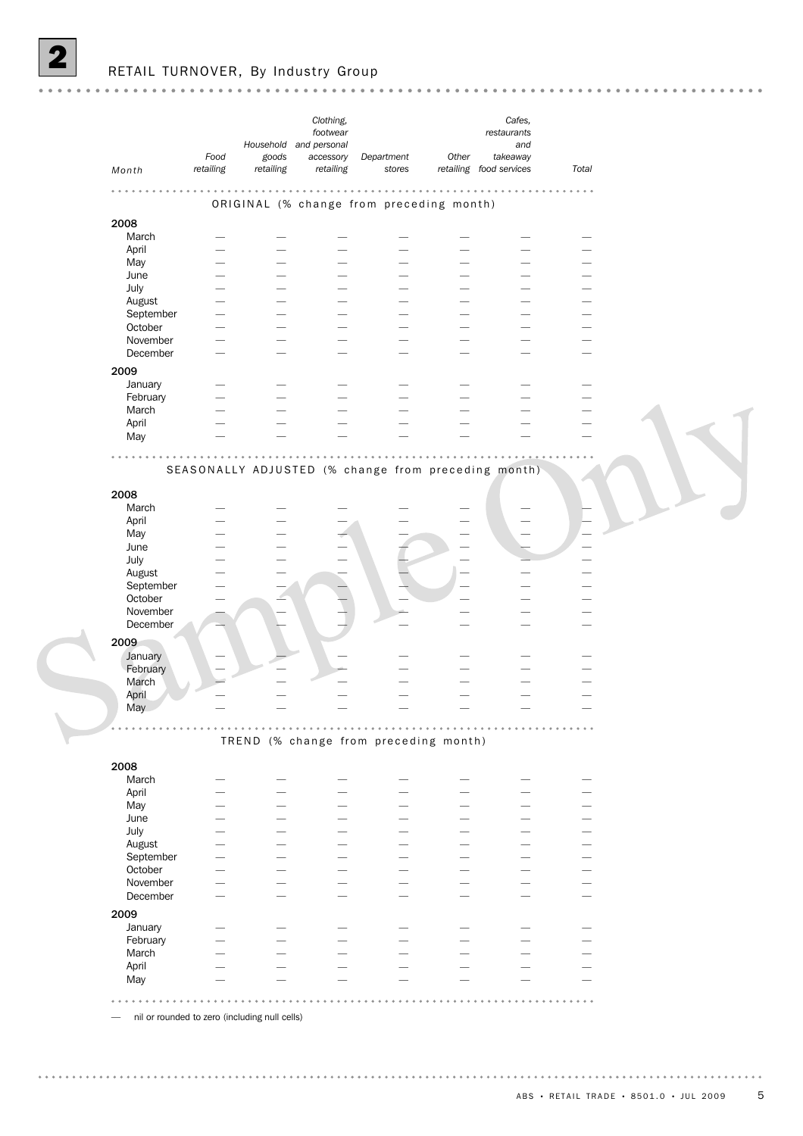$\sqrt{2}$ 

|                                                                                                      | Food      | goods     | Clothing,<br>footwear<br>Household and personal<br>accessory | Department                                          | Other                    | Cafes,<br>restaurants<br>and<br>takeaway |                            |  |
|------------------------------------------------------------------------------------------------------|-----------|-----------|--------------------------------------------------------------|-----------------------------------------------------|--------------------------|------------------------------------------|----------------------------|--|
| Month                                                                                                | retailing | retailing | retailing                                                    | stores                                              |                          | retailing food services                  | Total                      |  |
|                                                                                                      |           |           | .                                                            | ORIGINAL (% change from preceding month)            |                          |                                          | $\alpha = \alpha - \alpha$ |  |
| 2008                                                                                                 |           |           |                                                              |                                                     |                          |                                          |                            |  |
| March                                                                                                |           |           |                                                              |                                                     |                          |                                          |                            |  |
| April                                                                                                |           |           |                                                              |                                                     |                          |                                          |                            |  |
| May                                                                                                  |           |           |                                                              |                                                     |                          |                                          |                            |  |
| June                                                                                                 |           |           |                                                              |                                                     |                          |                                          |                            |  |
| July                                                                                                 |           |           |                                                              |                                                     |                          |                                          |                            |  |
|                                                                                                      |           |           |                                                              |                                                     |                          |                                          |                            |  |
| August                                                                                               |           |           |                                                              |                                                     |                          |                                          |                            |  |
| September                                                                                            |           |           |                                                              |                                                     |                          |                                          |                            |  |
| October                                                                                              |           |           |                                                              |                                                     |                          |                                          |                            |  |
| November                                                                                             |           |           |                                                              |                                                     |                          |                                          |                            |  |
| December                                                                                             |           |           |                                                              |                                                     |                          |                                          |                            |  |
| 2009                                                                                                 |           |           |                                                              |                                                     |                          |                                          |                            |  |
| January                                                                                              |           |           |                                                              |                                                     |                          |                                          |                            |  |
| February                                                                                             |           |           |                                                              |                                                     |                          |                                          |                            |  |
| March                                                                                                |           |           |                                                              |                                                     |                          |                                          |                            |  |
| April                                                                                                |           |           |                                                              |                                                     |                          |                                          |                            |  |
| May                                                                                                  |           |           |                                                              |                                                     |                          |                                          |                            |  |
|                                                                                                      |           |           |                                                              |                                                     |                          |                                          |                            |  |
|                                                                                                      |           |           |                                                              |                                                     |                          |                                          |                            |  |
|                                                                                                      |           |           |                                                              | SEASONALLY ADJUSTED (% change from preceding month) |                          |                                          |                            |  |
| 2008                                                                                                 |           |           |                                                              |                                                     |                          |                                          |                            |  |
|                                                                                                      |           |           |                                                              |                                                     |                          |                                          |                            |  |
| March                                                                                                |           |           |                                                              |                                                     |                          |                                          |                            |  |
| April                                                                                                |           |           |                                                              |                                                     |                          |                                          |                            |  |
| May                                                                                                  |           |           |                                                              |                                                     |                          |                                          |                            |  |
|                                                                                                      |           |           |                                                              |                                                     |                          |                                          |                            |  |
|                                                                                                      |           |           |                                                              |                                                     |                          |                                          |                            |  |
|                                                                                                      |           |           |                                                              |                                                     |                          |                                          |                            |  |
|                                                                                                      |           |           |                                                              |                                                     |                          |                                          |                            |  |
|                                                                                                      |           |           |                                                              |                                                     |                          |                                          |                            |  |
| June<br>July<br>August<br>September<br>October                                                       |           |           |                                                              |                                                     |                          |                                          |                            |  |
|                                                                                                      |           |           |                                                              |                                                     |                          |                                          |                            |  |
|                                                                                                      |           |           |                                                              |                                                     |                          |                                          |                            |  |
|                                                                                                      |           |           |                                                              |                                                     |                          |                                          |                            |  |
| November<br>December                                                                                 |           |           |                                                              |                                                     |                          |                                          |                            |  |
| January                                                                                              |           |           |                                                              |                                                     |                          |                                          |                            |  |
|                                                                                                      |           |           |                                                              |                                                     |                          |                                          |                            |  |
|                                                                                                      |           |           |                                                              |                                                     |                          |                                          |                            |  |
| March                                                                                                |           |           |                                                              |                                                     |                          |                                          |                            |  |
|                                                                                                      |           |           |                                                              |                                                     |                          |                                          |                            |  |
|                                                                                                      |           |           |                                                              |                                                     |                          |                                          |                            |  |
|                                                                                                      |           |           |                                                              |                                                     |                          |                                          |                            |  |
| April<br>May                                                                                         |           |           |                                                              | TREND (% change from preceding month)               |                          |                                          |                            |  |
| February                                                                                             |           |           |                                                              |                                                     |                          |                                          |                            |  |
| March                                                                                                |           |           |                                                              |                                                     |                          |                                          |                            |  |
| 2009<br>2008                                                                                         |           |           |                                                              |                                                     |                          |                                          |                            |  |
| April                                                                                                |           |           |                                                              |                                                     | $\overline{\phantom{0}}$ |                                          |                            |  |
|                                                                                                      |           |           |                                                              |                                                     |                          |                                          |                            |  |
|                                                                                                      |           |           |                                                              |                                                     |                          |                                          |                            |  |
|                                                                                                      |           |           |                                                              |                                                     | $\overline{\phantom{0}}$ |                                          |                            |  |
|                                                                                                      |           |           |                                                              |                                                     |                          |                                          |                            |  |
|                                                                                                      |           |           |                                                              |                                                     |                          |                                          |                            |  |
|                                                                                                      |           |           |                                                              |                                                     | $\overline{\phantom{0}}$ |                                          |                            |  |
|                                                                                                      |           |           |                                                              |                                                     |                          |                                          |                            |  |
|                                                                                                      |           |           |                                                              |                                                     |                          |                                          |                            |  |
|                                                                                                      |           |           |                                                              |                                                     |                          |                                          |                            |  |
|                                                                                                      |           |           |                                                              |                                                     | $\overline{\phantom{0}}$ |                                          |                            |  |
|                                                                                                      |           |           |                                                              |                                                     |                          |                                          |                            |  |
| May<br>June<br>July<br>August<br>September<br>October<br>November<br>December<br>January<br>February |           |           |                                                              |                                                     | -                        |                                          |                            |  |
| 2009<br>March                                                                                        |           |           |                                                              |                                                     |                          |                                          |                            |  |
| April<br>May                                                                                         |           |           |                                                              |                                                     |                          |                                          |                            |  |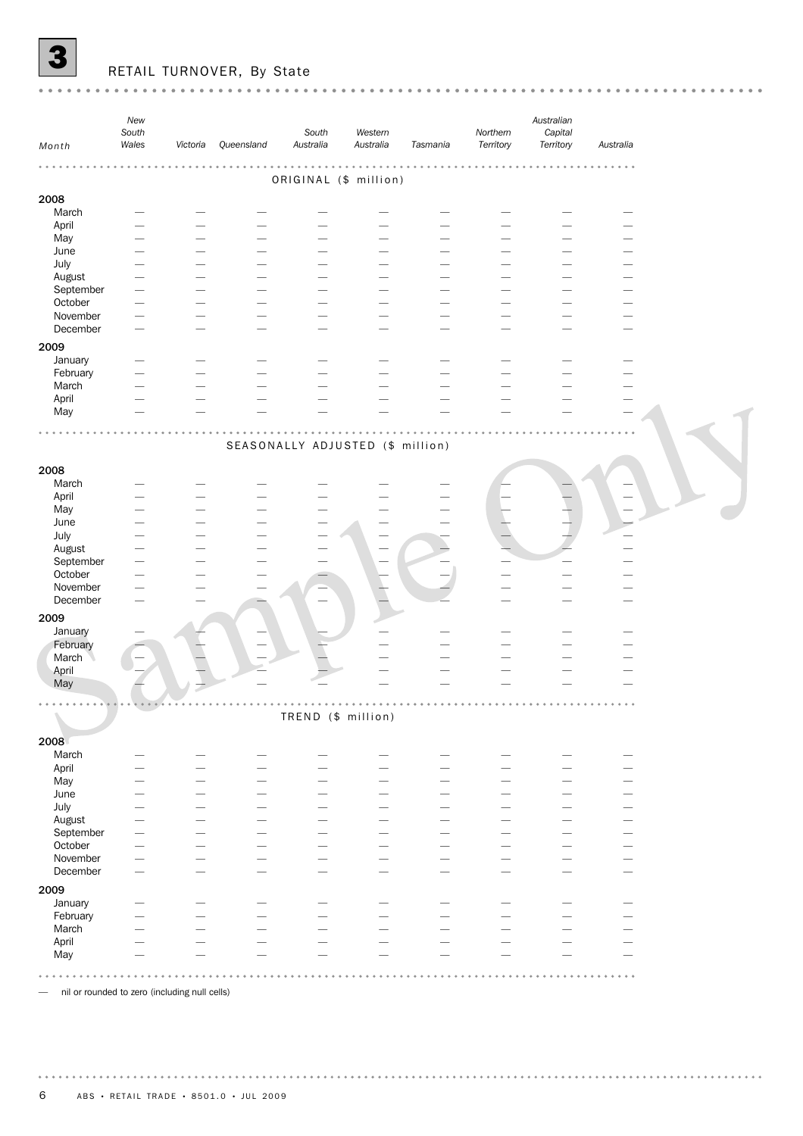

# RETAIL TURNOVER, By State

| Month                | New<br>South<br>Wales | Victoria                                             | Queensland | South<br>Australia               | Western<br>Australia | Tasmania                 | Northern<br>Territory         | Australian<br>Capital<br>Territory | Australia |  |
|----------------------|-----------------------|------------------------------------------------------|------------|----------------------------------|----------------------|--------------------------|-------------------------------|------------------------------------|-----------|--|
|                      |                       |                                                      |            |                                  |                      |                          |                               |                                    |           |  |
|                      |                       |                                                      |            | ORIGINAL (\$ million)            |                      |                          |                               |                                    |           |  |
| 2008                 |                       |                                                      |            |                                  |                      |                          |                               |                                    |           |  |
| March                |                       |                                                      |            |                                  |                      |                          |                               |                                    |           |  |
| April                |                       |                                                      |            |                                  |                      |                          |                               |                                    |           |  |
| May                  |                       |                                                      |            |                                  |                      |                          |                               |                                    |           |  |
| June                 |                       |                                                      |            |                                  |                      |                          |                               |                                    |           |  |
| July                 |                       |                                                      |            |                                  |                      |                          |                               |                                    |           |  |
| August<br>September  |                       |                                                      |            |                                  |                      |                          |                               |                                    |           |  |
| October              |                       |                                                      |            |                                  |                      |                          |                               |                                    |           |  |
| November             |                       |                                                      |            |                                  |                      |                          |                               |                                    |           |  |
| December             |                       |                                                      |            |                                  |                      |                          |                               |                                    |           |  |
| 2009                 |                       |                                                      |            |                                  |                      |                          |                               |                                    |           |  |
| January              |                       |                                                      |            |                                  |                      |                          |                               |                                    |           |  |
| February             |                       |                                                      |            |                                  |                      |                          |                               |                                    |           |  |
| March                |                       |                                                      |            |                                  |                      |                          |                               |                                    |           |  |
| April                |                       |                                                      |            |                                  |                      |                          |                               |                                    |           |  |
| May                  |                       |                                                      |            |                                  |                      |                          |                               |                                    |           |  |
|                      |                       |                                                      |            |                                  |                      |                          |                               |                                    |           |  |
|                      |                       |                                                      |            | SEASONALLY ADJUSTED (\$ million) |                      |                          |                               |                                    |           |  |
|                      |                       |                                                      |            |                                  |                      |                          |                               |                                    |           |  |
| 2008                 |                       |                                                      |            |                                  |                      |                          |                               |                                    |           |  |
| March                |                       |                                                      |            |                                  |                      |                          |                               |                                    |           |  |
| April                |                       |                                                      |            |                                  |                      |                          |                               |                                    |           |  |
| May                  |                       |                                                      |            |                                  |                      |                          |                               |                                    |           |  |
| June                 |                       |                                                      |            |                                  |                      |                          |                               |                                    |           |  |
| July                 |                       |                                                      |            |                                  |                      |                          |                               |                                    |           |  |
| August               |                       |                                                      |            |                                  |                      |                          |                               |                                    |           |  |
| September<br>October |                       |                                                      |            |                                  |                      |                          |                               |                                    |           |  |
| November             |                       |                                                      |            |                                  |                      |                          |                               |                                    |           |  |
| December             |                       |                                                      |            |                                  |                      |                          |                               |                                    |           |  |
|                      |                       |                                                      |            |                                  |                      |                          |                               |                                    |           |  |
| 2009<br>January      |                       |                                                      |            |                                  |                      |                          |                               |                                    |           |  |
| February             |                       |                                                      |            |                                  |                      |                          |                               |                                    |           |  |
| March                |                       |                                                      |            |                                  |                      |                          |                               |                                    |           |  |
| April                |                       |                                                      |            |                                  |                      |                          |                               |                                    |           |  |
| May                  |                       |                                                      |            |                                  |                      |                          |                               |                                    |           |  |
|                      |                       |                                                      |            |                                  |                      |                          |                               |                                    |           |  |
|                      |                       |                                                      |            | IREND (\$ million)               |                      |                          |                               |                                    |           |  |
| 2008                 |                       |                                                      |            |                                  |                      |                          |                               |                                    |           |  |
| March                |                       |                                                      |            |                                  |                      |                          |                               |                                    |           |  |
| April                |                       | $\overline{\phantom{0}}$                             |            |                                  |                      | -                        | $\overline{\phantom{0}}$      | -                                  |           |  |
| May                  |                       | -                                                    |            |                                  |                      |                          | $\overline{\phantom{0}}$      | -                                  |           |  |
| June                 |                       | $\overline{\phantom{0}}$                             |            |                                  |                      | -                        | $\overline{\phantom{0}}$      |                                    |           |  |
| July                 |                       | $\overline{\phantom{0}}$                             |            |                                  |                      | $\overline{\phantom{0}}$ | $\overline{\phantom{0}}$      |                                    |           |  |
| August               |                       |                                                      |            |                                  |                      |                          |                               |                                    |           |  |
| September            |                       |                                                      |            |                                  |                      |                          | -                             |                                    |           |  |
| October              |                       |                                                      |            |                                  |                      |                          | ۰                             |                                    |           |  |
| November             |                       | $\overline{\phantom{0}}$<br>$\overline{\phantom{0}}$ |            |                                  |                      | -                        | $\overline{\phantom{0}}$<br>- | -                                  |           |  |
| December             |                       |                                                      |            |                                  |                      |                          |                               |                                    |           |  |
| 2009                 |                       |                                                      |            |                                  |                      |                          |                               |                                    |           |  |
| January              |                       | $\overline{\phantom{0}}$                             |            | -                                |                      |                          | -                             | -                                  |           |  |
| February             |                       |                                                      |            |                                  |                      |                          |                               |                                    |           |  |
| March<br>April       |                       |                                                      |            |                                  |                      |                          |                               |                                    |           |  |
| May                  |                       |                                                      |            |                                  |                      |                          |                               |                                    |           |  |
|                      |                       |                                                      |            |                                  |                      |                          |                               |                                    |           |  |
| $\qquad \qquad -$    |                       | nil or rounded to zero (including null cells)        |            |                                  |                      |                          |                               |                                    |           |  |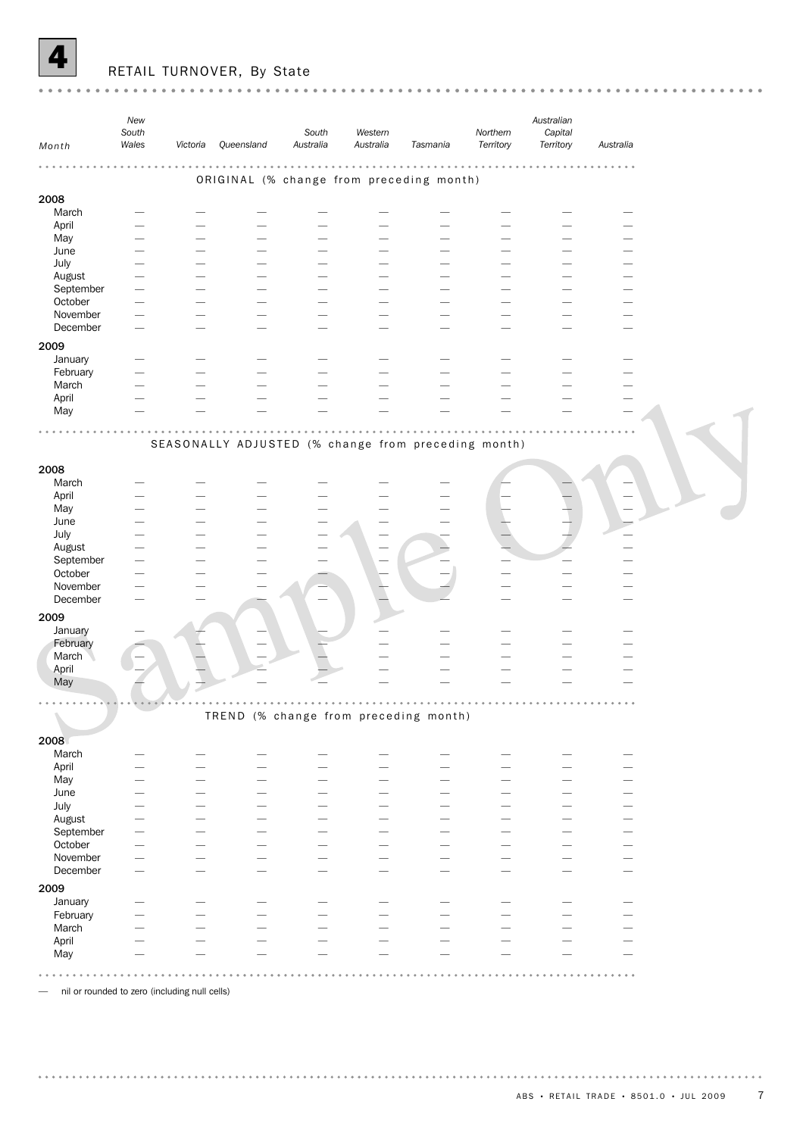

# RETAIL TURNOVER, By State

| Month                | New<br>South<br>Wales | Victoria | Queensland                                          | South<br>Australia | Western<br>Australia | Tasmania                 | Northern<br>Territory | Australian<br>Capital<br>Territory | Australia |  |
|----------------------|-----------------------|----------|-----------------------------------------------------|--------------------|----------------------|--------------------------|-----------------------|------------------------------------|-----------|--|
|                      |                       |          |                                                     |                    | $\alpha$             |                          |                       |                                    |           |  |
|                      |                       |          | ORIGINAL (% change from preceding month)            |                    |                      |                          |                       |                                    |           |  |
| 2008                 |                       |          |                                                     |                    |                      |                          |                       |                                    |           |  |
| March                |                       |          |                                                     |                    |                      |                          |                       |                                    |           |  |
| April                |                       |          |                                                     |                    |                      |                          |                       |                                    |           |  |
| May<br>June          |                       |          |                                                     |                    |                      |                          |                       |                                    |           |  |
| July                 |                       |          |                                                     |                    |                      |                          |                       |                                    |           |  |
| August               |                       |          |                                                     |                    |                      |                          |                       |                                    |           |  |
| September            |                       |          |                                                     |                    |                      |                          |                       |                                    |           |  |
| October              |                       |          |                                                     |                    |                      |                          |                       |                                    |           |  |
| November<br>December |                       |          |                                                     |                    |                      |                          |                       |                                    |           |  |
|                      |                       |          |                                                     |                    |                      |                          |                       |                                    |           |  |
| 2009<br>January      |                       |          |                                                     |                    |                      |                          |                       |                                    |           |  |
| February             |                       |          |                                                     |                    |                      |                          |                       |                                    |           |  |
| March                |                       |          |                                                     |                    |                      |                          |                       |                                    |           |  |
| April                |                       |          |                                                     |                    |                      |                          |                       |                                    |           |  |
| May                  |                       |          |                                                     |                    |                      |                          |                       |                                    |           |  |
|                      |                       |          | SEASONALLY ADJUSTED (% change from preceding month) |                    |                      |                          |                       |                                    |           |  |
| 2008                 |                       |          |                                                     |                    |                      |                          |                       |                                    |           |  |
| March                |                       |          |                                                     |                    |                      |                          |                       |                                    |           |  |
| April                |                       |          |                                                     |                    |                      |                          |                       |                                    |           |  |
| May                  |                       |          |                                                     |                    |                      |                          |                       |                                    |           |  |
| June                 |                       |          |                                                     |                    |                      |                          |                       |                                    |           |  |
| July                 |                       |          |                                                     |                    |                      |                          |                       |                                    |           |  |
| August<br>September  |                       |          |                                                     |                    |                      |                          |                       |                                    |           |  |
| October              |                       |          |                                                     |                    |                      |                          |                       |                                    |           |  |
| November             |                       |          |                                                     |                    |                      |                          |                       |                                    |           |  |
| December             |                       |          |                                                     |                    |                      |                          |                       |                                    |           |  |
| 2009                 |                       |          |                                                     |                    |                      |                          |                       |                                    |           |  |
| January              |                       |          |                                                     |                    |                      |                          |                       |                                    |           |  |
| February             |                       |          |                                                     |                    |                      |                          |                       |                                    |           |  |
| March                |                       |          |                                                     |                    |                      |                          |                       |                                    |           |  |
| April<br>May         |                       |          |                                                     |                    |                      |                          |                       |                                    |           |  |
|                      |                       |          |                                                     |                    |                      |                          |                       |                                    |           |  |
|                      |                       |          |                                                     |                    |                      |                          |                       |                                    |           |  |
|                      |                       |          | TREND (% change from preceding month)               |                    |                      |                          |                       |                                    |           |  |
| 2008                 |                       |          |                                                     |                    |                      |                          |                       |                                    |           |  |
| March                |                       |          |                                                     |                    |                      |                          |                       |                                    |           |  |
| April                |                       |          |                                                     |                    |                      | -                        |                       |                                    |           |  |
| May                  |                       |          |                                                     |                    |                      | -                        |                       |                                    |           |  |
| June<br>July         |                       |          |                                                     |                    |                      | -<br>-                   |                       |                                    |           |  |
| August               |                       |          |                                                     |                    |                      | -                        |                       |                                    |           |  |
| September            |                       |          |                                                     |                    |                      |                          |                       |                                    |           |  |
| October              |                       |          |                                                     |                    |                      |                          |                       |                                    |           |  |
| November             |                       |          |                                                     |                    |                      |                          |                       |                                    |           |  |
| December             |                       |          |                                                     |                    |                      | $\overline{\phantom{0}}$ |                       |                                    |           |  |
| 2009                 |                       |          |                                                     |                    |                      |                          |                       |                                    |           |  |
| January              |                       |          |                                                     |                    |                      |                          |                       |                                    |           |  |
| February<br>March    |                       |          |                                                     |                    |                      |                          |                       |                                    |           |  |
| April                |                       |          |                                                     |                    |                      |                          |                       |                                    |           |  |
| May                  |                       |          |                                                     |                    |                      |                          |                       |                                    |           |  |
|                      |                       |          |                                                     |                    |                      |                          |                       |                                    |           |  |
|                      |                       |          |                                                     |                    |                      |                          |                       |                                    |           |  |

— nil or rounded to zero (including null cells)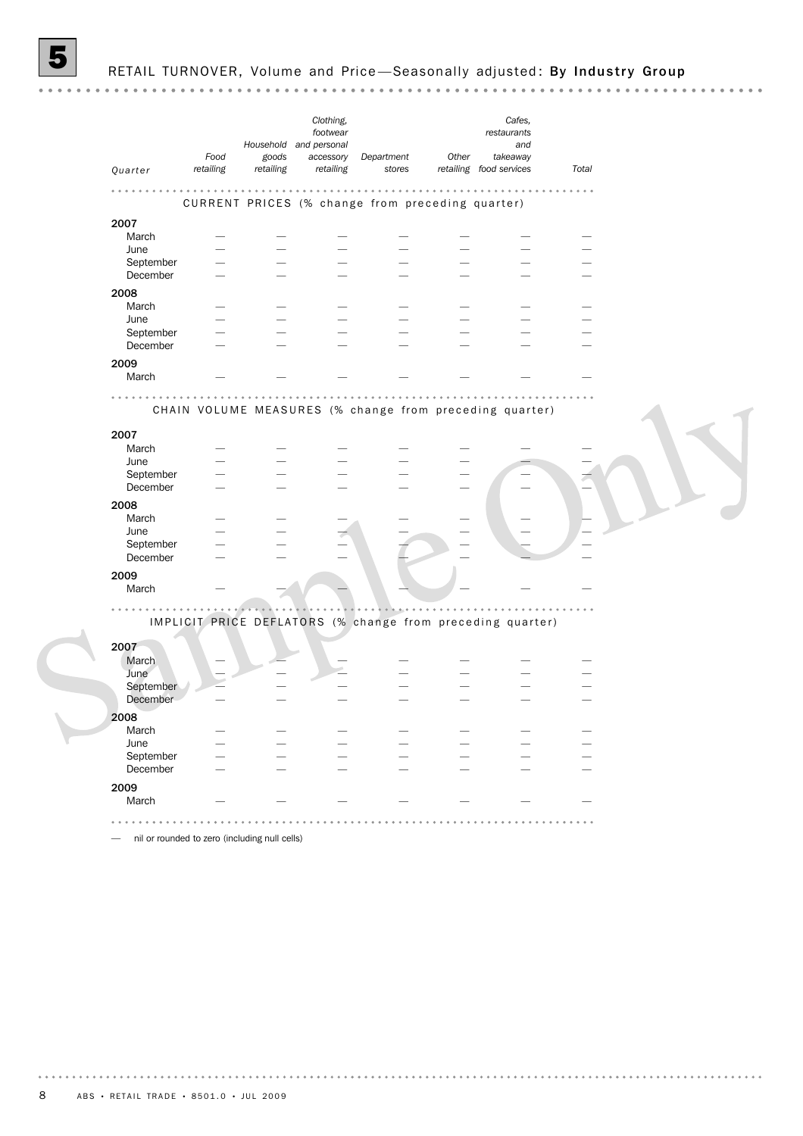*Clothing, Cafes, footwear restaurants and* Household and personal *Food goods Other takeaway Department accessory retailing retailing Quarter retailing stores Total food services retailing* . . . . . . . . . . CURRENT PRICES (% change from preceding quarter) 2007 March — — — — — — — June — — — — — — — — — — — September — — — — — — — — — — December — — — — — — — — — — — 2008<br>March March — — — — — — — June — — — — — — — — — — September<br>December December — — — — — — — — — — — 2009 March — — — — — — — . . . . . . . . . . . .  $2.2.2.2.2.2.2$  $2.2.2.2.2$ a a a a a . . . . . . . . CHAIN VOLUME MEASURES (% change from preceding quarter) 2007<br>March March — — — — — — — June — — — — — — — — — — — September December — — — — — — — — — — — 2008 March — — — — — — — — — — — June — — — — — — — — — — — September<br>December December — — — — — — — 2009 March — — — — — — — . . . . . . . . . . . . . . . <u>andona</u> IMPLICIT PRICE DEFLATORS (% change from preceding quarter) 2007 March  $-$ June — — — — — — — September — — — — — — — December 2008<br>March March — — — — — — — June — — — — — — — — — — — September December — — — — — — — — — — — 2009 March — — — — — — —

— nil or rounded to zero (including null cells)

 $\frac{1}{2} \left( \frac{1}{2} \right) \left( \frac{1}{2} \right) \left( \frac{1}{2} \right) \left( \frac{1}{2} \right) \left( \frac{1}{2} \right)$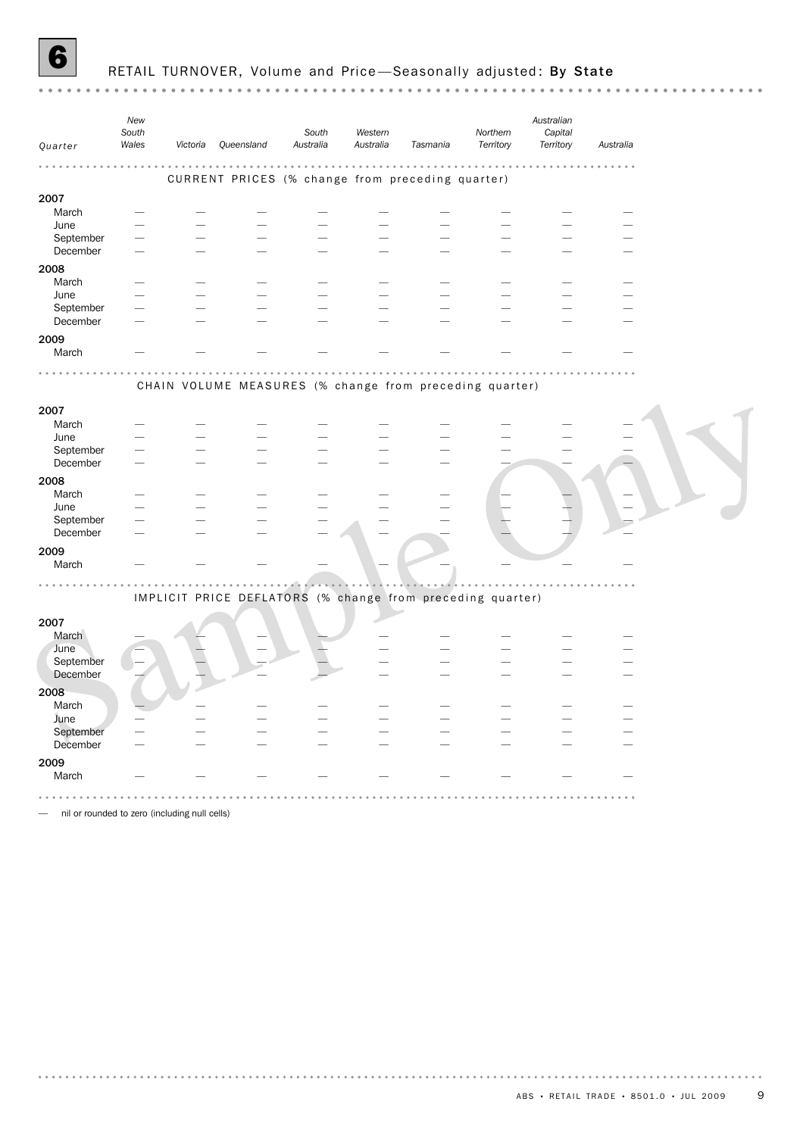

 $\sim$   $\sim$ 

*New Australian South South Western Northern Capital Australia Territory Victoria Queensland Australia Tasmania Territory Australia Quarter Wales*  $2.2.2.2$ . . . . . . . . . . . . . . . . . . . . . . . . . . . . . . . . . . . . . . . . . . . . . . . CURRENT PRICES (% change from preceding quarter) 2007 March — — — — — — — — — June — — — — — — — — — September — — — — — — — — — — — — — December — — — — — — — — — — — — — — 2008 March — — — — — — — — — — — — — — June — — — — — — — — — September — — — — — — — — — — — — — — December — — — — — — — — — — — — — — 2009 March — — — — — — — — — — — — — — . . . . . . CHAIN VOLUME MEASURES (% change from preceding quarter) 2007<br>March March — — — — — — — — — — — — — — June — — — — — — — — — September — — — — — — — — — — — — — December — — — — — — — — — 2008 March — — — — — — — — — — — — — — — June – – – – – – – – – – – – September — — — — — — — — — — — — — — December — — — — — — — — — 2009 March — — — — — — — — — — — — — . . . . . . . IMPLICIT PRICE DEFLATORS (% change from preceding quarter) 2007 March — — — — — — — — — — — — — — — — June — — — — — — — — — September — — — — — — — — — — — — — — — — — — December — — — — — — — — — 2008<br>March March — — — — — — — — — June / — — — — — — — — — — — — — — September — — — — — — — — — — — — — December — — — — — — — — — — — — — — 2009 March — — — — — — — — — . . . . . . . . . . . . . . . . . . . — nil or rounded to zero (including null cells)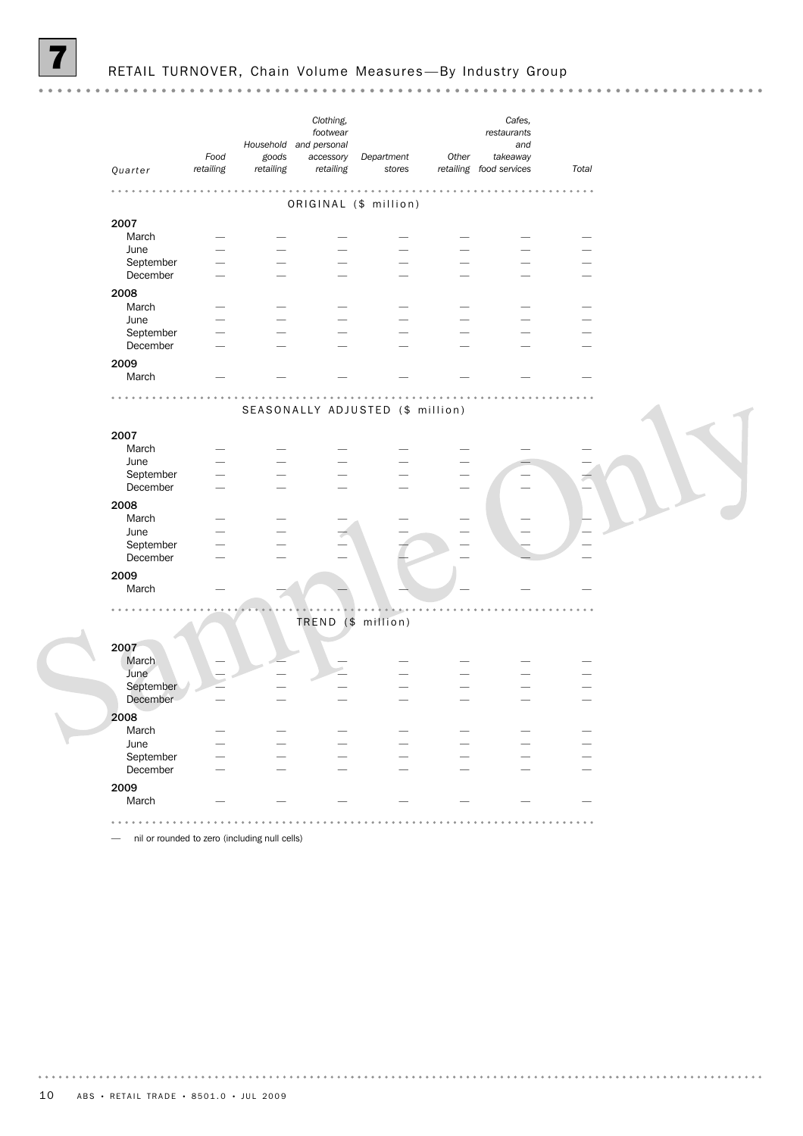*Clothing, Cafes, footwear restaurants* Household and personal *and Food Other goods accessory Department takeaway Quarter retailing retailing retailing stores Total food services retailing* . . . . . . . . ORIGINAL (\$ million) 2007 March — — — — — — — June — — — — — — — — — — September — — — — — — — — — — — December — — — — — — — — — — 2008<br>March March — — — — — — — June — — — — — — — — — — — September<br>December December — — — — — — — — — — — 2009 March — — — — — — — . . . . . . . . a a a a SEASONALLY ADJUSTED (\$ million) 2007<br>March March — — — — — — — June — — — — — — — — — — September — — December 2008<br>March March — — — — — — — — — — — June — — — — — — — September<br>December December — — — — — — — 2009 March  $-$ TREND (\$ million) 2007 March  $-$ June — — — — — — — September December 2008<br>March March — — — — — — — June — — — — — — — — — — September December — — — — — — — — — — 2009 March — — — — — — —

— nil or rounded to zero (including null cells)

 $\frac{1}{2} \left( \frac{1}{2} \right) \left( \frac{1}{2} \right) \left( \frac{1}{2} \right) \left( \frac{1}{2} \right) \left( \frac{1}{2} \right)$ 

. . . . . . . . .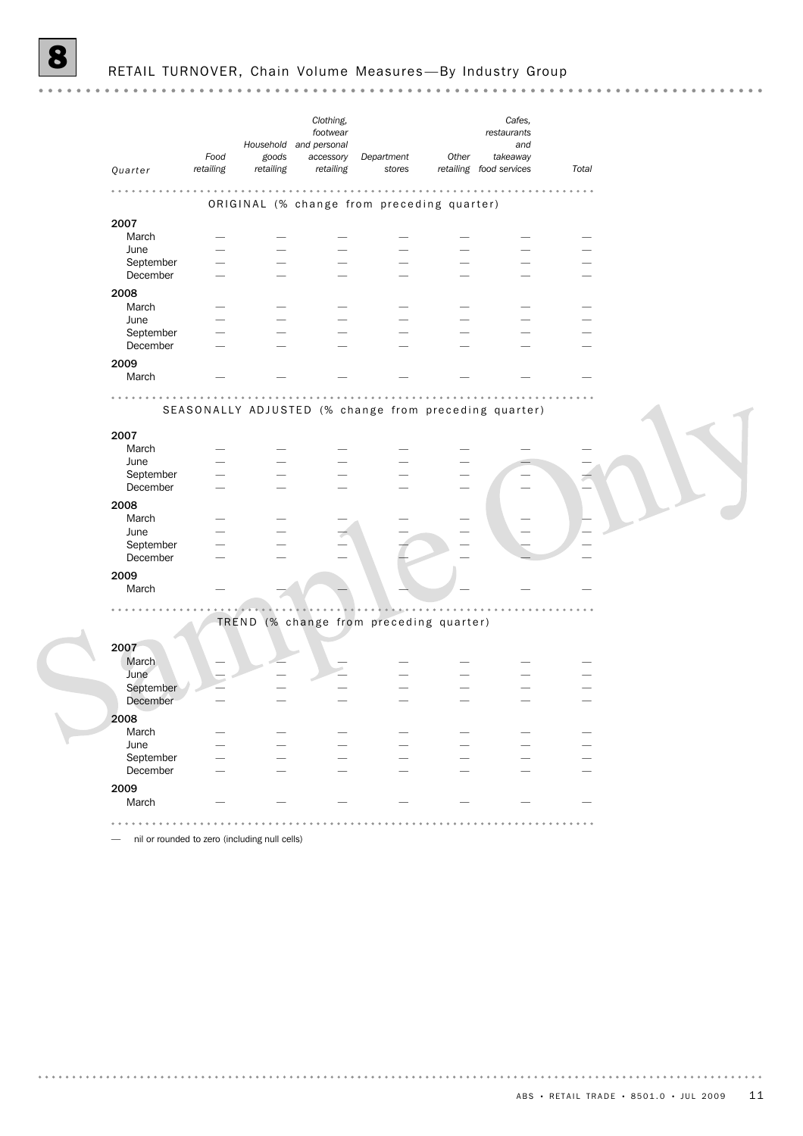| Quarter   | Food<br>retailing | goods<br>retailing | Clothing,<br>footwear<br>Household and personal<br>accessory<br>retailing | Department<br>stores                                  | Other                    | Cafes,<br>restaurants<br>and<br>takeaway<br>retailing food services | Total |  |
|-----------|-------------------|--------------------|---------------------------------------------------------------------------|-------------------------------------------------------|--------------------------|---------------------------------------------------------------------|-------|--|
|           |                   |                    |                                                                           |                                                       |                          |                                                                     |       |  |
|           |                   |                    |                                                                           | ORIGINAL (% change from preceding quarter)            |                          |                                                                     |       |  |
| 2007      |                   |                    |                                                                           |                                                       |                          |                                                                     |       |  |
| March     |                   |                    |                                                                           |                                                       |                          |                                                                     |       |  |
| June      |                   |                    |                                                                           |                                                       |                          |                                                                     |       |  |
| September |                   |                    |                                                                           |                                                       |                          |                                                                     |       |  |
| December  |                   |                    |                                                                           |                                                       |                          |                                                                     |       |  |
| 2008      |                   |                    |                                                                           |                                                       |                          |                                                                     |       |  |
| March     |                   |                    |                                                                           |                                                       |                          |                                                                     |       |  |
| June      |                   |                    |                                                                           |                                                       |                          |                                                                     |       |  |
| September |                   |                    |                                                                           |                                                       |                          |                                                                     |       |  |
| December  |                   |                    |                                                                           |                                                       |                          |                                                                     |       |  |
| 2009      |                   |                    |                                                                           |                                                       |                          |                                                                     |       |  |
| March     |                   |                    |                                                                           |                                                       |                          |                                                                     |       |  |
|           |                   |                    |                                                                           |                                                       |                          |                                                                     |       |  |
|           |                   |                    |                                                                           | SEASONALLY ADJUSTED (% change from preceding quarter) |                          |                                                                     |       |  |
|           |                   |                    |                                                                           |                                                       |                          |                                                                     |       |  |
| 2007      |                   |                    |                                                                           |                                                       |                          |                                                                     |       |  |
| March     |                   |                    |                                                                           |                                                       |                          |                                                                     |       |  |
| June      |                   |                    |                                                                           |                                                       |                          |                                                                     |       |  |
| September |                   |                    |                                                                           |                                                       |                          |                                                                     |       |  |
| December  |                   |                    |                                                                           |                                                       |                          |                                                                     |       |  |
| 2008      |                   |                    |                                                                           |                                                       |                          |                                                                     |       |  |
| March     |                   |                    |                                                                           |                                                       |                          |                                                                     |       |  |
| June      |                   |                    |                                                                           |                                                       |                          |                                                                     |       |  |
| September |                   |                    |                                                                           |                                                       |                          |                                                                     |       |  |
| December  |                   |                    |                                                                           |                                                       |                          |                                                                     |       |  |
| 2009      |                   |                    |                                                                           |                                                       |                          |                                                                     |       |  |
| March     |                   |                    |                                                                           |                                                       |                          |                                                                     |       |  |
|           |                   |                    |                                                                           |                                                       |                          |                                                                     |       |  |
|           |                   |                    |                                                                           | TREND (% change from preceding quarter)               |                          |                                                                     |       |  |
|           |                   |                    |                                                                           |                                                       |                          |                                                                     |       |  |
| 2007      |                   |                    |                                                                           |                                                       |                          |                                                                     |       |  |
| March     |                   |                    |                                                                           |                                                       |                          |                                                                     |       |  |
| June      |                   |                    |                                                                           |                                                       |                          |                                                                     |       |  |
| September |                   |                    |                                                                           |                                                       |                          |                                                                     |       |  |
| December  |                   |                    |                                                                           |                                                       |                          |                                                                     |       |  |
| 2008      |                   |                    |                                                                           |                                                       |                          |                                                                     |       |  |
| March     |                   |                    |                                                                           |                                                       |                          |                                                                     |       |  |
| June      |                   |                    |                                                                           |                                                       |                          |                                                                     |       |  |
| September |                   |                    |                                                                           |                                                       |                          |                                                                     |       |  |
| December  |                   |                    |                                                                           |                                                       | $\overline{\phantom{0}}$ |                                                                     |       |  |
| 2009      |                   |                    |                                                                           |                                                       |                          |                                                                     |       |  |
| March     |                   |                    |                                                                           |                                                       |                          |                                                                     |       |  |
|           |                   |                    |                                                                           |                                                       |                          |                                                                     |       |  |

. . . . . . . . . . . . . . . . .

. . . . . . . . . . .

— nil or rounded to zero (including null cells)

. . . . . . . . . .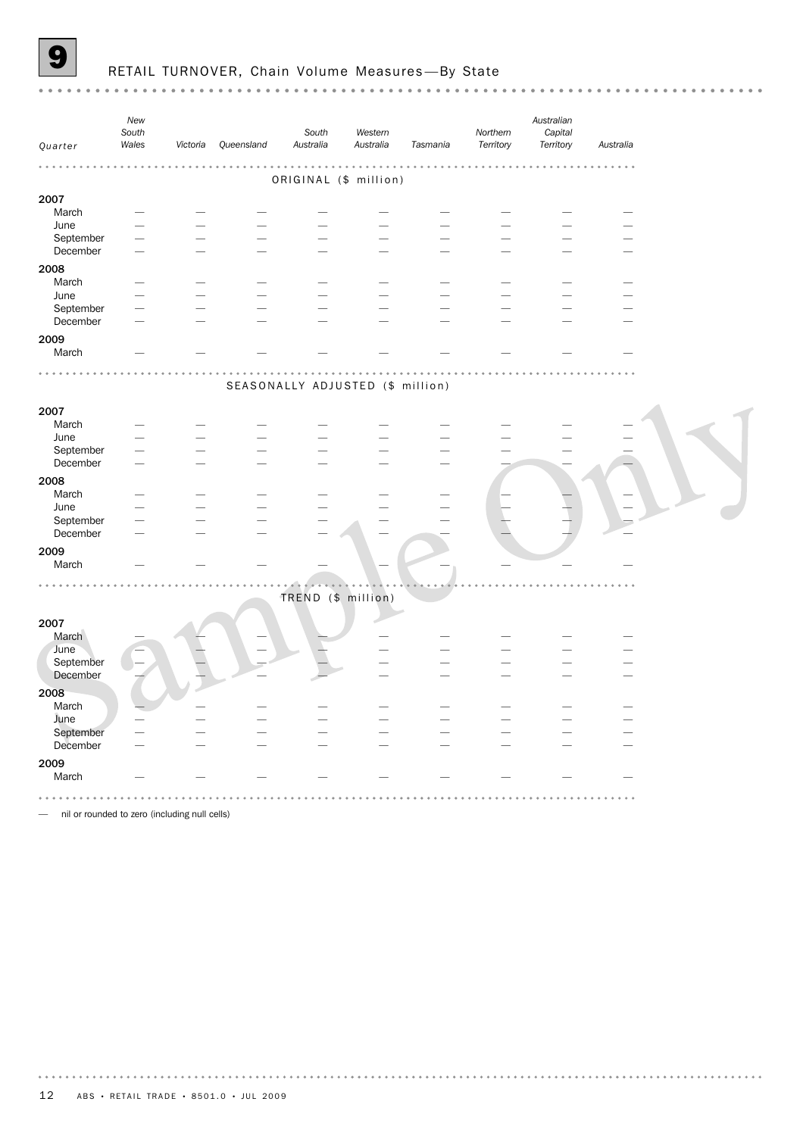

 $\sim$   $\sim$ 

#### RETAIL TURNOVER, Chain Volume Measures-By State

*New Australian South South Western Northern Capital Victoria Queensland Australia Australia Tasmania Territory Territory Australia Quarter Wales* . . . . . . . . . . . .  $\sim 10^{-1}$  $\cdots$  $\sim 10^{-1}$  $\frac{1}{2}$ . . . . . . . . ORIGINAL (\$ million) 2007<br>March March — — — — — — — — — — — — — — June — — — — — — — — — September — — — — — — — — — — — — — December — — — — — — — — — — — — — 2008 March — — — — — — — — — June — — — — — — — — — September — — — — — — — — — — — — — December — — — — — — — — — — — — — — 2009 March — — — — — — — — — . . . . . . . SEASONALLY ADJUSTED (\$ million) 2007<br>March March — — — — — — — — — — — — — — June — — — — — — — — — September — — — — — — — — — — — — — — December — — — — — — — — — 2008 March — — — — — — — — — — — — — June – – – – – – – – – – – September — — — — — — — — — — — — — — December — — — — — — — — — 2009 March — — — — — — — — — — — — — . . . . . . . . TREND (\$ million) 2007 March — — — — — — — — — — — — June — — — — — — — — — September — — — — — — — — — December — — — — — — — — — 2008 March — — — — — — — — — June — — — — — — — — — — — — — September — — — — — — — — — — — — — — December — — — — — — — — — — — — — 2009 March — — — — — — — — — — — — — — 

— nil or rounded to zero (including null cells)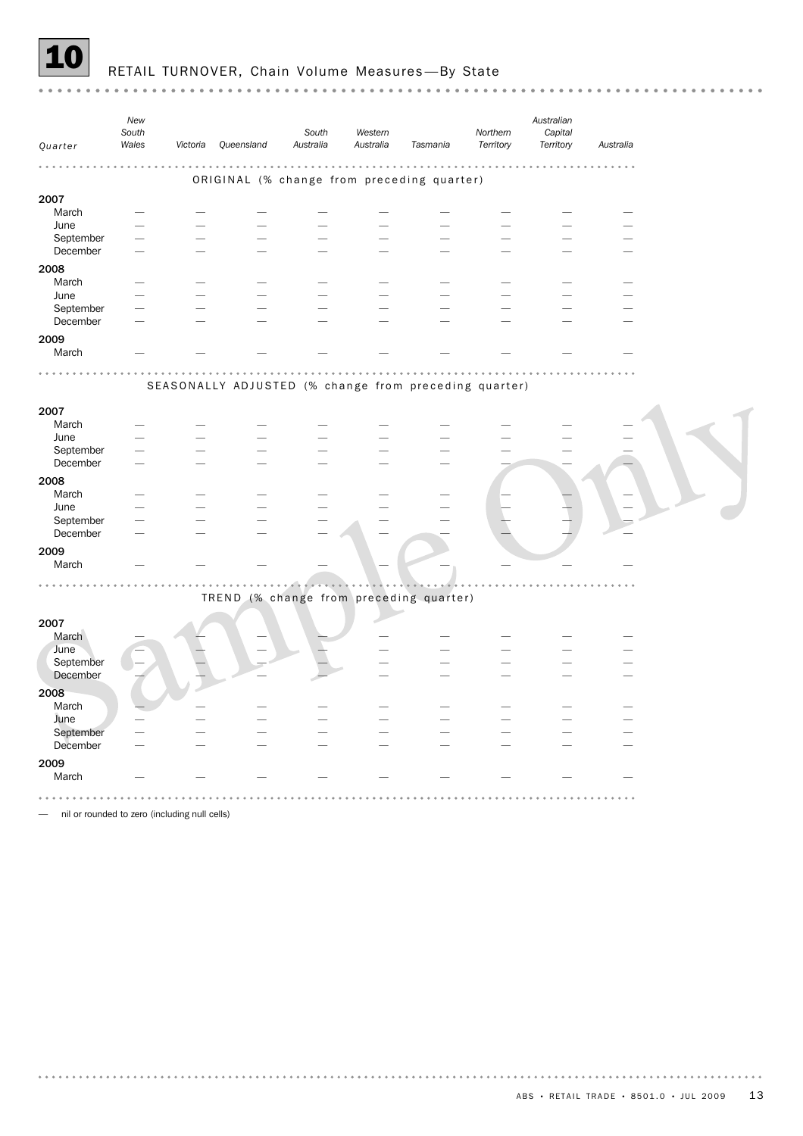

|                   | New<br>South<br>Wales | Victoria | Queensland                                            | South<br>Australia | Western<br>Australia | Tasmania | Northern<br>Territory | Australian<br>Capital<br>Territory | Australia |  |
|-------------------|-----------------------|----------|-------------------------------------------------------|--------------------|----------------------|----------|-----------------------|------------------------------------|-----------|--|
| Quarter           |                       |          |                                                       |                    |                      |          |                       |                                    |           |  |
|                   |                       |          |                                                       |                    |                      |          |                       |                                    |           |  |
|                   |                       |          | ORIGINAL (% change from preceding quarter)            |                    |                      |          |                       |                                    |           |  |
| 2007              |                       |          |                                                       |                    |                      |          |                       |                                    |           |  |
| March             |                       |          |                                                       |                    |                      |          |                       |                                    |           |  |
| June              |                       |          |                                                       |                    |                      |          |                       |                                    |           |  |
| September         |                       |          |                                                       |                    |                      |          |                       |                                    |           |  |
| December          |                       |          |                                                       |                    |                      |          |                       |                                    |           |  |
| 2008              |                       |          |                                                       |                    |                      |          |                       |                                    |           |  |
| March             |                       |          |                                                       |                    |                      |          |                       |                                    |           |  |
| June              |                       |          |                                                       |                    |                      |          |                       |                                    |           |  |
| September         |                       |          |                                                       |                    |                      |          |                       |                                    |           |  |
| December          |                       |          |                                                       |                    |                      |          |                       |                                    |           |  |
| 2009              |                       |          |                                                       |                    |                      |          |                       |                                    |           |  |
| March             |                       |          |                                                       |                    |                      |          |                       |                                    |           |  |
|                   |                       |          |                                                       |                    |                      |          |                       |                                    |           |  |
|                   |                       |          |                                                       |                    |                      |          |                       |                                    |           |  |
|                   |                       |          | SEASONALLY ADJUSTED (% change from preceding quarter) |                    |                      |          |                       |                                    |           |  |
| 2007              |                       |          |                                                       |                    |                      |          |                       |                                    |           |  |
| March             |                       |          |                                                       |                    |                      |          |                       |                                    |           |  |
| June              |                       |          |                                                       |                    |                      |          |                       |                                    |           |  |
| September         |                       |          |                                                       |                    |                      |          |                       |                                    |           |  |
| December          |                       |          |                                                       |                    |                      |          |                       |                                    |           |  |
|                   |                       |          |                                                       |                    |                      |          |                       |                                    |           |  |
| 2008              |                       |          |                                                       |                    |                      |          |                       |                                    |           |  |
| March             |                       |          |                                                       |                    |                      |          |                       |                                    |           |  |
| June<br>September |                       |          |                                                       |                    |                      |          |                       |                                    |           |  |
| December          |                       |          |                                                       |                    |                      |          |                       |                                    |           |  |
|                   |                       |          |                                                       |                    |                      |          |                       |                                    |           |  |
| 2009              |                       |          |                                                       |                    |                      |          |                       |                                    |           |  |
| March             |                       |          |                                                       |                    |                      |          |                       |                                    |           |  |
|                   |                       |          |                                                       |                    |                      |          |                       |                                    |           |  |
|                   |                       |          | TREND (% change from preceding quarter)               |                    |                      |          |                       |                                    |           |  |
|                   |                       |          |                                                       |                    |                      |          |                       |                                    |           |  |
| 2007              |                       |          |                                                       |                    |                      |          |                       |                                    |           |  |
| March             |                       |          |                                                       |                    |                      |          |                       |                                    |           |  |
| June              |                       |          |                                                       |                    |                      |          |                       |                                    |           |  |
| September         |                       |          |                                                       |                    |                      |          |                       |                                    |           |  |
| December          |                       |          |                                                       |                    |                      |          |                       |                                    |           |  |
| 2008              |                       |          |                                                       |                    |                      |          |                       |                                    |           |  |
| March             |                       |          |                                                       |                    |                      |          |                       |                                    |           |  |
| June              |                       |          |                                                       |                    |                      |          |                       |                                    |           |  |
| September         |                       |          |                                                       |                    |                      |          |                       |                                    |           |  |
| December          |                       |          |                                                       |                    |                      |          |                       |                                    |           |  |
| 2009              |                       |          |                                                       |                    |                      |          |                       |                                    |           |  |
| March             |                       |          |                                                       |                    |                      |          |                       |                                    |           |  |
|                   |                       |          |                                                       |                    |                      |          |                       |                                    |           |  |
|                   |                       |          |                                                       |                    |                      |          |                       |                                    |           |  |

— nil or rounded to zero (including null cells)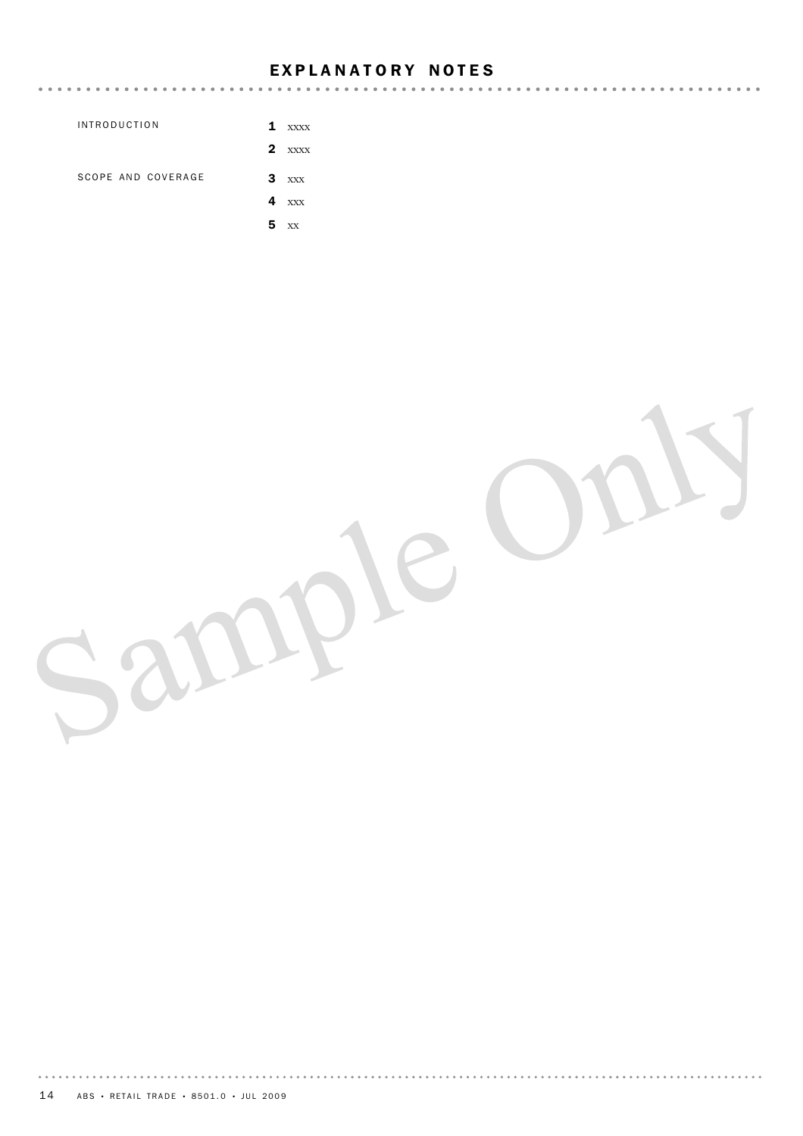### EXPLANATORY NOTES

|                     | $\cdots$                    |
|---------------------|-----------------------------|
| <b>INTRODUCTION</b> | $\mathbf{1}$<br><b>XXXX</b> |
|                     | $\mathbf{2}$<br><b>XXXX</b> |
| SCOPE AND COVERAGE  | 3<br>XXX                    |
|                     | 4<br>XXX                    |
|                     | 5<br>XX                     |

14 ABS • RETAIL TRADE • 8501.0 • JUL 2009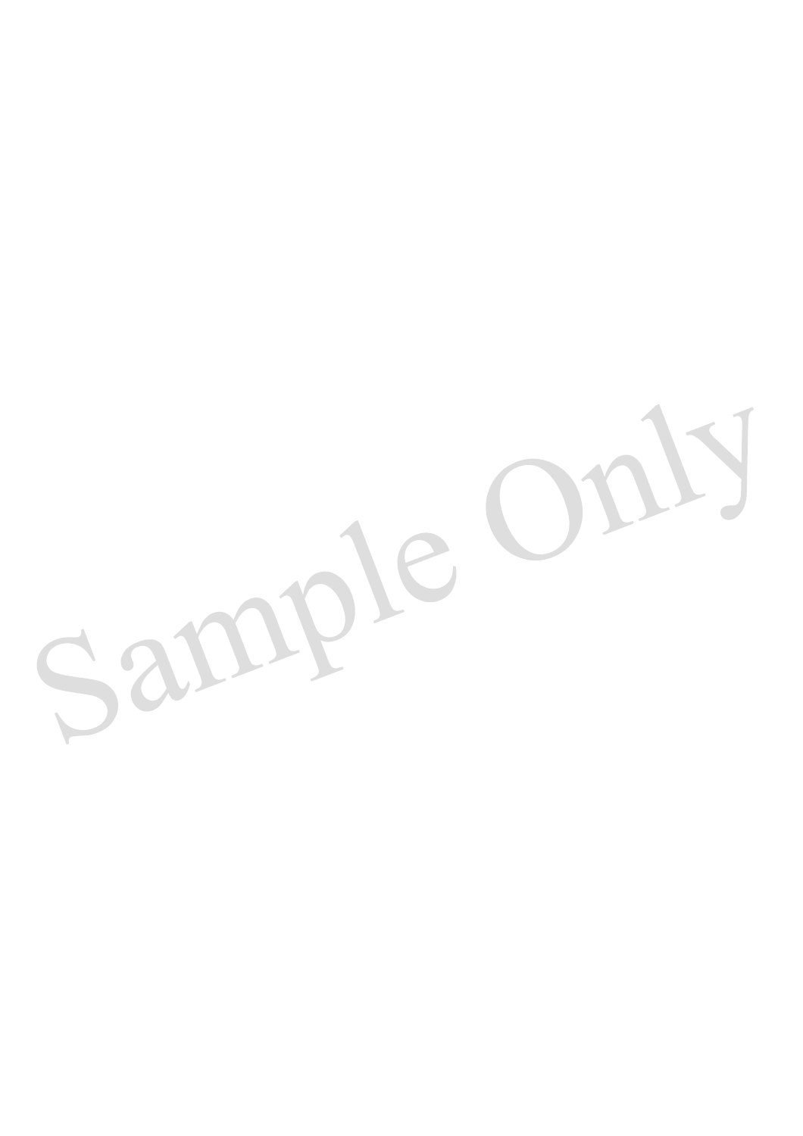Sample Only